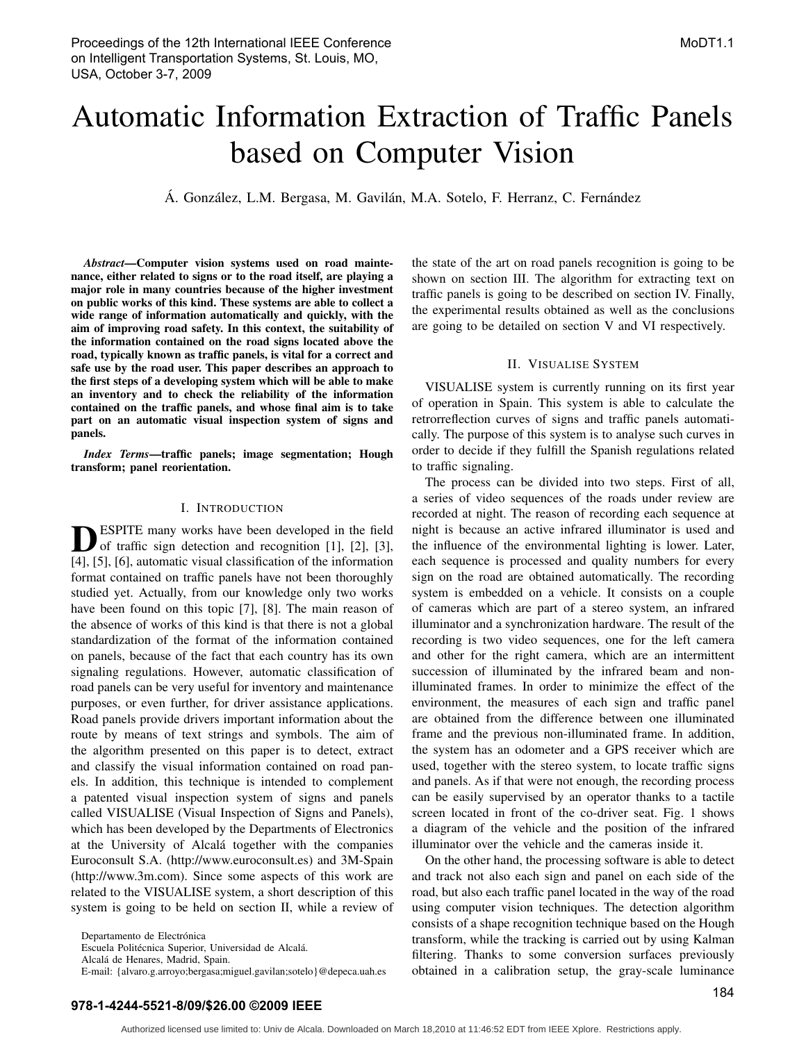# Automatic Information Extraction of Traffic Panels based on Computer Vision

Á. González, L.M. Bergasa, M. Gavilán, M.A. Sotelo, F. Herranz, C. Fernández

*Abstract*—Computer vision systems used on road maintenance, either related to signs or to the road itself, are playing a major role in many countries because of the higher investment on public works of this kind. These systems are able to collect a wide range of information automatically and quickly, with the aim of improving road safety. In this context, the suitability of the information contained on the road signs located above the road, typically known as traffic panels, is vital for a correct and safe use by the road user. This paper describes an approach to the first steps of a developing system which will be able to make an inventory and to check the reliability of the information contained on the traffic panels, and whose final aim is to take part on an automatic visual inspection system of signs and panels.

*Index Terms*—traffic panels; image segmentation; Hough transform; panel reorientation.

# I. INTRODUCTION

**DESPITE** many works have been developed in the field<br>of traffic sign detection and recognition [1], [2], [3], ESPITE many works have been developed in the field [4], [5], [6], automatic visual classification of the information format contained on traffic panels have not been thoroughly studied yet. Actually, from our knowledge only two works have been found on this topic [7], [8]. The main reason of the absence of works of this kind is that there is not a global standardization of the format of the information contained on panels, because of the fact that each country has its own signaling regulations. However, automatic classification of road panels can be very useful for inventory and maintenance purposes, or even further, for driver assistance applications. Road panels provide drivers important information about the route by means of text strings and symbols. The aim of the algorithm presented on this paper is to detect, extract and classify the visual information contained on road panels. In addition, this technique is intended to complement a patented visual inspection system of signs and panels called VISUALISE (Visual Inspection of Signs and Panels), which has been developed by the Departments of Electronics at the University of Alcalá together with the companies Euroconsult S.A. (http://www.euroconsult.es) and 3M-Spain (http://www.3m.com). Since some aspects of this work are related to the VISUALISE system, a short description of this system is going to be held on section II, while a review of

Departamento de Electrónica

Escuela Politécnica Superior, Universidad de Alcalá.

Alcalá de Henares, Madrid, Spain.

E-mail: {alvaro.g.arroyo;bergasa;miguel.gavilan;sotelo}@depeca.uah.es

the state of the art on road panels recognition is going to be shown on section III. The algorithm for extracting text on traffic panels is going to be described on section IV. Finally, the experimental results obtained as well as the conclusions are going to be detailed on section V and VI respectively.

#### II. VISUALISE SYSTEM

VISUALISE system is currently running on its first year of operation in Spain. This system is able to calculate the retrorreflection curves of signs and traffic panels automatically. The purpose of this system is to analyse such curves in order to decide if they fulfill the Spanish regulations related to traffic signaling.

The process can be divided into two steps. First of all, a series of video sequences of the roads under review are recorded at night. The reason of recording each sequence at night is because an active infrared illuminator is used and the influence of the environmental lighting is lower. Later, each sequence is processed and quality numbers for every sign on the road are obtained automatically. The recording system is embedded on a vehicle. It consists on a couple of cameras which are part of a stereo system, an infrared illuminator and a synchronization hardware. The result of the recording is two video sequences, one for the left camera and other for the right camera, which are an intermittent succession of illuminated by the infrared beam and nonilluminated frames. In order to minimize the effect of the environment, the measures of each sign and traffic panel are obtained from the difference between one illuminated frame and the previous non-illuminated frame. In addition, the system has an odometer and a GPS receiver which are used, together with the stereo system, to locate traffic signs and panels. As if that were not enough, the recording process can be easily supervised by an operator thanks to a tactile screen located in front of the co-driver seat. Fig. 1 shows a diagram of the vehicle and the position of the infrared illuminator over the vehicle and the cameras inside it.

On the other hand, the processing software is able to detect and track not also each sign and panel on each side of the road, but also each traffic panel located in the way of the road using computer vision techniques. The detection algorithm consists of a shape recognition technique based on the Hough transform, while the tracking is carried out by using Kalman filtering. Thanks to some conversion surfaces previously obtained in a calibration setup, the gray-scale luminance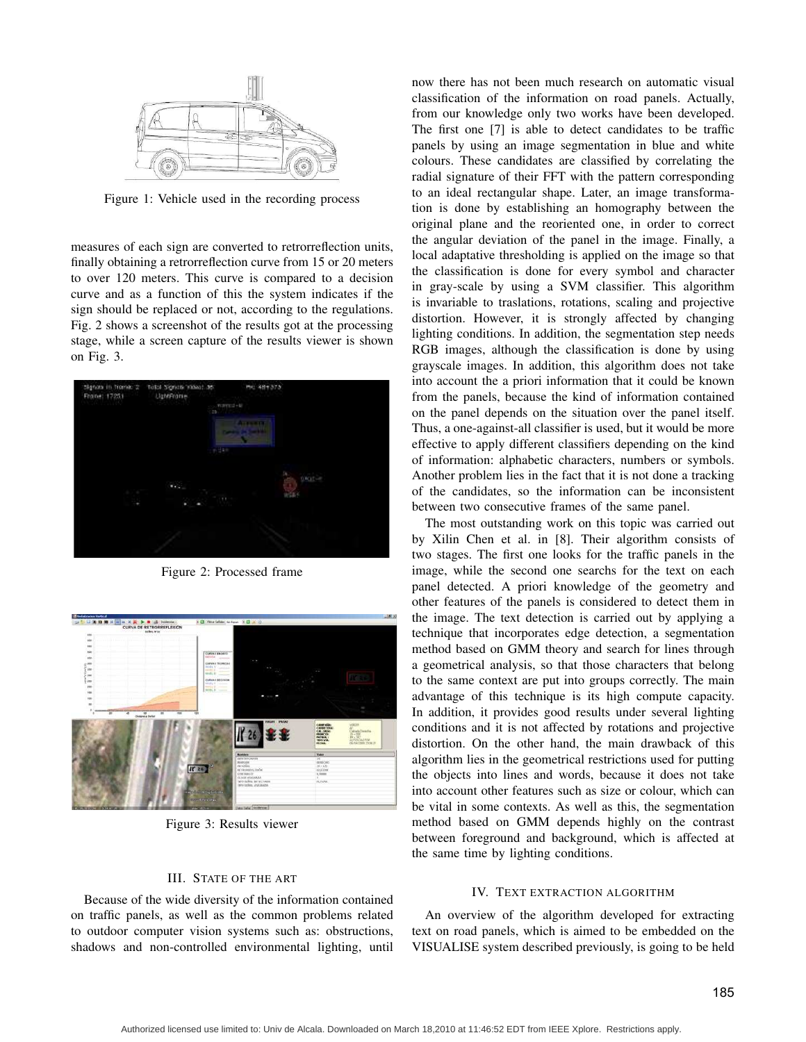

Figure 1: Vehicle used in the recording process

measures of each sign are converted to retrorreflection units, finally obtaining a retrorreflection curve from 15 or 20 meters to over 120 meters. This curve is compared to a decision curve and as a function of this the system indicates if the sign should be replaced or not, according to the regulations. Fig. 2 shows a screenshot of the results got at the processing stage, while a screen capture of the results viewer is shown on Fig. 3.



Figure 2: Processed frame



Figure 3: Results viewer

#### III. STATE OF THE ART

Because of the wide diversity of the information contained on traffic panels, as well as the common problems related to outdoor computer vision systems such as: obstructions, shadows and non-controlled environmental lighting, until

now there has not been much research on automatic visual classification of the information on road panels. Actually, from our knowledge only two works have been developed. The first one [7] is able to detect candidates to be traffic panels by using an image segmentation in blue and white colours. These candidates are classified by correlating the radial signature of their FFT with the pattern corresponding to an ideal rectangular shape. Later, an image transformation is done by establishing an homography between the original plane and the reoriented one, in order to correct the angular deviation of the panel in the image. Finally, a local adaptative thresholding is applied on the image so that the classification is done for every symbol and character in gray-scale by using a SVM classifier. This algorithm is invariable to traslations, rotations, scaling and projective distortion. However, it is strongly affected by changing lighting conditions. In addition, the segmentation step needs RGB images, although the classification is done by using grayscale images. In addition, this algorithm does not take into account the a priori information that it could be known from the panels, because the kind of information contained on the panel depends on the situation over the panel itself. Thus, a one-against-all classifier is used, but it would be more effective to apply different classifiers depending on the kind of information: alphabetic characters, numbers or symbols. Another problem lies in the fact that it is not done a tracking of the candidates, so the information can be inconsistent between two consecutive frames of the same panel.

The most outstanding work on this topic was carried out by Xilin Chen et al. in [8]. Their algorithm consists of two stages. The first one looks for the traffic panels in the image, while the second one searchs for the text on each panel detected. A priori knowledge of the geometry and other features of the panels is considered to detect them in the image. The text detection is carried out by applying a technique that incorporates edge detection, a segmentation method based on GMM theory and search for lines through a geometrical analysis, so that those characters that belong to the same context are put into groups correctly. The main advantage of this technique is its high compute capacity. In addition, it provides good results under several lighting conditions and it is not affected by rotations and projective distortion. On the other hand, the main drawback of this algorithm lies in the geometrical restrictions used for putting the objects into lines and words, because it does not take into account other features such as size or colour, which can be vital in some contexts. As well as this, the segmentation method based on GMM depends highly on the contrast between foreground and background, which is affected at the same time by lighting conditions.

#### IV. TEXT EXTRACTION ALGORITHM

An overview of the algorithm developed for extracting text on road panels, which is aimed to be embedded on the VISUALISE system described previously, is going to be held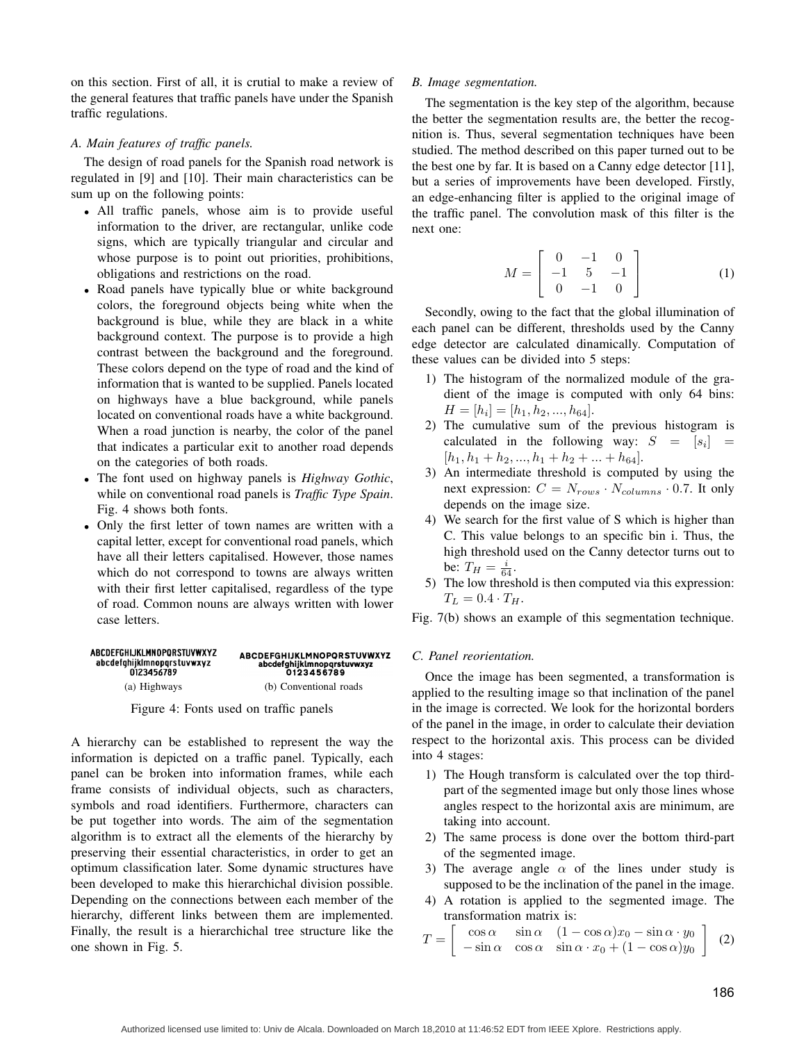on this section. First of all, it is crutial to make a review of the general features that traffic panels have under the Spanish traffic regulations.

# *A. Main features of traffic panels.*

The design of road panels for the Spanish road network is regulated in [9] and [10]. Their main characteristics can be sum up on the following points:

- All traffic panels, whose aim is to provide useful information to the driver, are rectangular, unlike code signs, which are typically triangular and circular and whose purpose is to point out priorities, prohibitions, obligations and restrictions on the road.
- Road panels have typically blue or white background colors, the foreground objects being white when the background is blue, while they are black in a white background context. The purpose is to provide a high contrast between the background and the foreground. These colors depend on the type of road and the kind of information that is wanted to be supplied. Panels located on highways have a blue background, while panels located on conventional roads have a white background. When a road junction is nearby, the color of the panel that indicates a particular exit to another road depends on the categories of both roads.
- The font used on highway panels is *Highway Gothic*, while on conventional road panels is *Traffic Type Spain*. Fig. 4 shows both fonts.
- Only the first letter of town names are written with a capital letter, except for conventional road panels, which have all their letters capitalised. However, those names which do not correspond to towns are always written with their first letter capitalised, regardless of the type of road. Common nouns are always written with lower case letters.

#### ABCDEFGHIJKLMNOPORSTUVWXYZ ABCDEFGHIJKLMNOPORSTUVWXYZ abcdefghijklmnopqrstuvwxyz abcdefghijklmnopqrstuvwxyz<br>0123456789 0123456789 (a) Highways (b) Conventional roads

Figure 4: Fonts used on traffic panels

A hierarchy can be established to represent the way the information is depicted on a traffic panel. Typically, each panel can be broken into information frames, while each frame consists of individual objects, such as characters, symbols and road identifiers. Furthermore, characters can be put together into words. The aim of the segmentation algorithm is to extract all the elements of the hierarchy by preserving their essential characteristics, in order to get an optimum classification later. Some dynamic structures have been developed to make this hierarchichal division possible. Depending on the connections between each member of the hierarchy, different links between them are implemented. Finally, the result is a hierarchichal tree structure like the one shown in Fig. 5.

# *B. Image segmentation.*

The segmentation is the key step of the algorithm, because the better the segmentation results are, the better the recognition is. Thus, several segmentation techniques have been studied. The method described on this paper turned out to be the best one by far. It is based on a Canny edge detector [11], but a series of improvements have been developed. Firstly, an edge-enhancing filter is applied to the original image of the traffic panel. The convolution mask of this filter is the next one:

$$
M = \left[ \begin{array}{rrr} 0 & -1 & 0 \\ -1 & 5 & -1 \\ 0 & -1 & 0 \end{array} \right] \tag{1}
$$

Secondly, owing to the fact that the global illumination of each panel can be different, thresholds used by the Canny edge detector are calculated dinamically. Computation of these values can be divided into 5 steps:

- 1) The histogram of the normalized module of the gradient of the image is computed with only 64 bins:  $H = [h_i] = [h_1, h_2, ..., h_{64}].$
- 2) The cumulative sum of the previous histogram is calculated in the following way:  $S = [s_i] =$  $[h_1, h_1 + h_2, ..., h_1 + h_2 + ... + h_{64}].$
- 3) An intermediate threshold is computed by using the next expression:  $C = N_{rows} \cdot N_{columns} \cdot 0.7$ . It only depends on the image size.
- 4) We search for the first value of S which is higher than C. This value belongs to an specific bin i. Thus, the high threshold used on the Canny detector turns out to be:  $T_H = \frac{i}{64}$ .
- 5) The low threshold is then computed via this expression:  $T_L = 0.4 \cdot T_H.$

Fig. 7(b) shows an example of this segmentation technique.

# *C. Panel reorientation.*

Once the image has been segmented, a transformation is applied to the resulting image so that inclination of the panel in the image is corrected. We look for the horizontal borders of the panel in the image, in order to calculate their deviation respect to the horizontal axis. This process can be divided into 4 stages:

- 1) The Hough transform is calculated over the top thirdpart of the segmented image but only those lines whose angles respect to the horizontal axis are minimum, are taking into account.
- 2) The same process is done over the bottom third-part of the segmented image.
- 3) The average angle  $\alpha$  of the lines under study is supposed to be the inclination of the panel in the image.
- 4) A rotation is applied to the segmented image. The transformation matrix is:

$$
T = \begin{bmatrix} \cos \alpha & \sin \alpha & (1 - \cos \alpha)x_0 - \sin \alpha \cdot y_0 \\ -\sin \alpha & \cos \alpha & \sin \alpha \cdot x_0 + (1 - \cos \alpha)y_0 \end{bmatrix}
$$
 (2)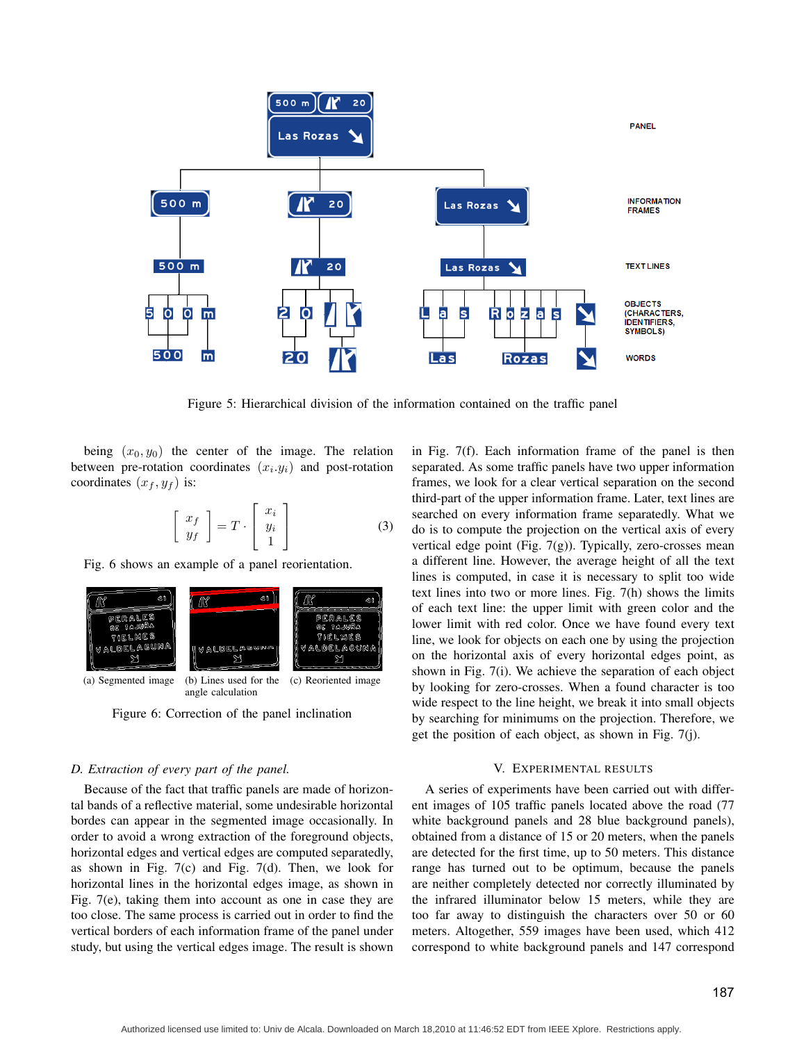

Figure 5: Hierarchical division of the information contained on the traffic panel

being  $(x_0, y_0)$  the center of the image. The relation between pre-rotation coordinates  $(x_i, y_i)$  and post-rotation coordinates  $(x_f, y_f)$  is:

$$
\left[\begin{array}{c} x_f \\ y_f \end{array}\right] = T \cdot \left[\begin{array}{c} x_i \\ y_i \\ 1 \end{array}\right] \tag{3}
$$

Fig. 6 shows an example of a panel reorientation.



Figure 6: Correction of the panel inclination

# *D. Extraction of every part of the panel.*

Because of the fact that traffic panels are made of horizontal bands of a reflective material, some undesirable horizontal bordes can appear in the segmented image occasionally. In order to avoid a wrong extraction of the foreground objects, horizontal edges and vertical edges are computed separatedly, as shown in Fig. 7(c) and Fig. 7(d). Then, we look for horizontal lines in the horizontal edges image, as shown in Fig. 7(e), taking them into account as one in case they are too close. The same process is carried out in order to find the vertical borders of each information frame of the panel under study, but using the vertical edges image. The result is shown in Fig. 7(f). Each information frame of the panel is then separated. As some traffic panels have two upper information frames, we look for a clear vertical separation on the second third-part of the upper information frame. Later, text lines are searched on every information frame separatedly. What we do is to compute the projection on the vertical axis of every vertical edge point (Fig.  $7(g)$ ). Typically, zero-crosses mean a different line. However, the average height of all the text lines is computed, in case it is necessary to split too wide text lines into two or more lines. Fig. 7(h) shows the limits of each text line: the upper limit with green color and the lower limit with red color. Once we have found every text line, we look for objects on each one by using the projection on the horizontal axis of every horizontal edges point, as shown in Fig. 7(i). We achieve the separation of each object by looking for zero-crosses. When a found character is too wide respect to the line height, we break it into small objects by searching for minimums on the projection. Therefore, we get the position of each object, as shown in Fig. 7(j).

# V. EXPERIMENTAL RESULTS

A series of experiments have been carried out with different images of 105 traffic panels located above the road (77 white background panels and 28 blue background panels), obtained from a distance of 15 or 20 meters, when the panels are detected for the first time, up to 50 meters. This distance range has turned out to be optimum, because the panels are neither completely detected nor correctly illuminated by the infrared illuminator below 15 meters, while they are too far away to distinguish the characters over 50 or 60 meters. Altogether, 559 images have been used, which 412 correspond to white background panels and 147 correspond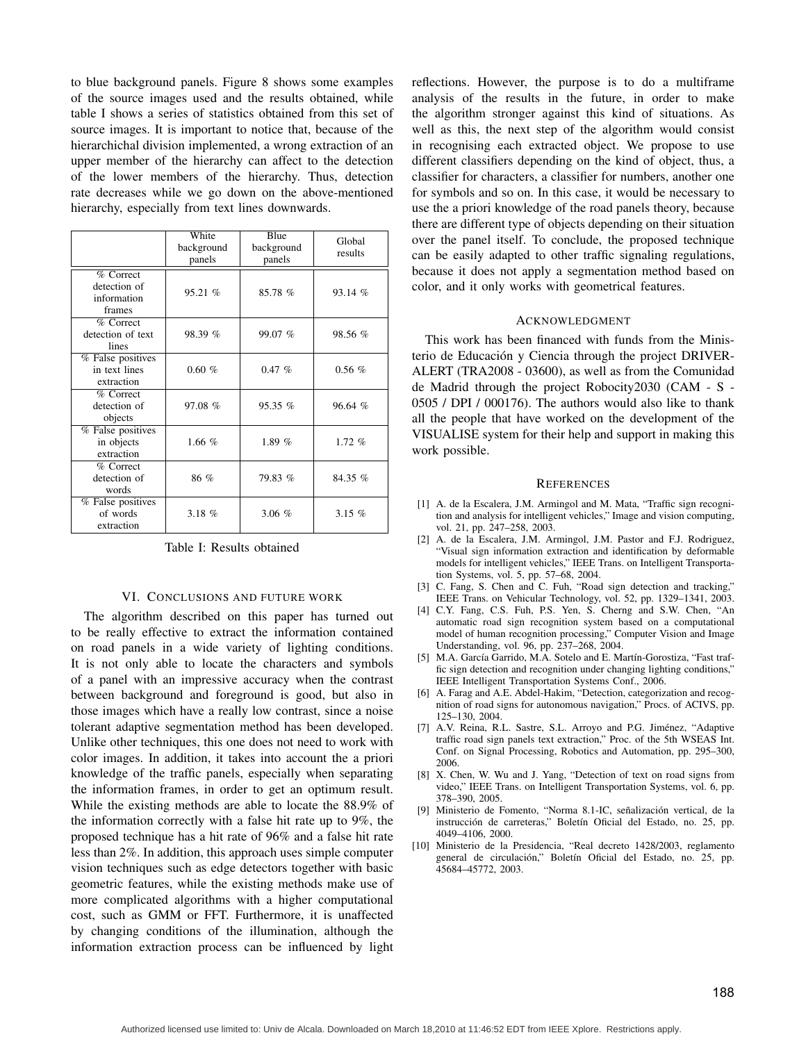to blue background panels. Figure 8 shows some examples of the source images used and the results obtained, while table I shows a series of statistics obtained from this set of source images. It is important to notice that, because of the hierarchichal division implemented, a wrong extraction of an upper member of the hierarchy can affect to the detection of the lower members of the hierarchy. Thus, detection rate decreases while we go down on the above-mentioned hierarchy, especially from text lines downwards.

|                                                    | White<br>background<br>panels | Blue<br>background<br>panels | Global<br>results |
|----------------------------------------------------|-------------------------------|------------------------------|-------------------|
| % Correct<br>detection of<br>information<br>frames | 95.21 %                       | 85.78 %                      | 93.14 %           |
| % Correct<br>detection of text<br>lines            | 98.39 %                       | 99.07 %                      | 98.56 %           |
| % False positives<br>in text lines<br>extraction   | 0.60%                         | 0.47%                        | $0.56\%$          |
| $%$ Correct<br>detection of<br>objects             | 97.08 %                       | $95.35\%$                    | 96.64 %           |
| % False positives<br>in objects<br>extraction      | 1.66 $%$                      | 1.89 $%$                     | 1.72%             |
| % Correct<br>detection of<br>words                 | 86 %                          | 79.83 %                      | 84.35 %           |
| % False positives<br>of words<br>extraction        | 3.18 $%$                      | 3.06%                        | 3.15 $%$          |

Table I: Results obtained

#### VI. CONCLUSIONS AND FUTURE WORK

The algorithm described on this paper has turned out to be really effective to extract the information contained on road panels in a wide variety of lighting conditions. It is not only able to locate the characters and symbols of a panel with an impressive accuracy when the contrast between background and foreground is good, but also in those images which have a really low contrast, since a noise tolerant adaptive segmentation method has been developed. Unlike other techniques, this one does not need to work with color images. In addition, it takes into account the a priori knowledge of the traffic panels, especially when separating the information frames, in order to get an optimum result. While the existing methods are able to locate the 88.9% of the information correctly with a false hit rate up to 9%, the proposed technique has a hit rate of 96% and a false hit rate less than 2%. In addition, this approach uses simple computer vision techniques such as edge detectors together with basic geometric features, while the existing methods make use of more complicated algorithms with a higher computational cost, such as GMM or FFT. Furthermore, it is unaffected by changing conditions of the illumination, although the information extraction process can be influenced by light

reflections. However, the purpose is to do a multiframe analysis of the results in the future, in order to make the algorithm stronger against this kind of situations. As well as this, the next step of the algorithm would consist in recognising each extracted object. We propose to use different classifiers depending on the kind of object, thus, a classifier for characters, a classifier for numbers, another one for symbols and so on. In this case, it would be necessary to use the a priori knowledge of the road panels theory, because there are different type of objects depending on their situation over the panel itself. To conclude, the proposed technique can be easily adapted to other traffic signaling regulations, because it does not apply a segmentation method based on color, and it only works with geometrical features.

### ACKNOWLEDGMENT

This work has been financed with funds from the Ministerio de Educación y Ciencia through the project DRIVER-ALERT (TRA2008 - 03600), as well as from the Comunidad de Madrid through the project Robocity2030 (CAM - S - 0505 / DPI / 000176). The authors would also like to thank all the people that have worked on the development of the VISUALISE system for their help and support in making this work possible.

#### **REFERENCES**

- [1] A. de la Escalera, J.M. Armingol and M. Mata, "Traffic sign recognition and analysis for intelligent vehicles," Image and vision computing, vol. 21, pp. 247–258, 2003.
- [2] A. de la Escalera, J.M. Armingol, J.M. Pastor and F.J. Rodriguez, "Visual sign information extraction and identification by deformable models for intelligent vehicles," IEEE Trans. on Intelligent Transportation Systems, vol. 5, pp. 57–68, 2004.
- [3] C. Fang, S. Chen and C. Fuh, "Road sign detection and tracking," IEEE Trans. on Vehicular Technology, vol. 52, pp. 1329–1341, 2003.
- [4] C.Y. Fang, C.S. Fuh, P.S. Yen, S. Cherng and S.W. Chen, "An automatic road sign recognition system based on a computational model of human recognition processing," Computer Vision and Image Understanding, vol. 96, pp. 237–268, 2004.
- [5] M.A. García Garrido, M.A. Sotelo and E. Martín-Gorostiza, "Fast traffic sign detection and recognition under changing lighting conditions," IEEE Intelligent Transportation Systems Conf., 2006.
- [6] A. Farag and A.E. Abdel-Hakim, "Detection, categorization and recognition of road signs for autonomous navigation," Procs. of ACIVS, pp. 125–130, 2004.
- [7] A.V. Reina, R.L. Sastre, S.L. Arroyo and P.G. Jiménez, "Adaptive traffic road sign panels text extraction," Proc. of the 5th WSEAS Int. Conf. on Signal Processing, Robotics and Automation, pp. 295–300, 2006.
- [8] X. Chen, W. Wu and J. Yang, "Detection of text on road signs from video," IEEE Trans. on Intelligent Transportation Systems, vol. 6, pp. 378–390, 2005.
- [9] Ministerio de Fomento, "Norma 8.1-IC, señalización vertical, de la instrucción de carreteras," Boletín Oficial del Estado, no. 25, pp. 4049–4106, 2000.
- [10] Ministerio de la Presidencia, "Real decreto 1428/2003, reglamento general de circulación," Boletín Oficial del Estado, no. 25, pp. 45684–45772, 2003.